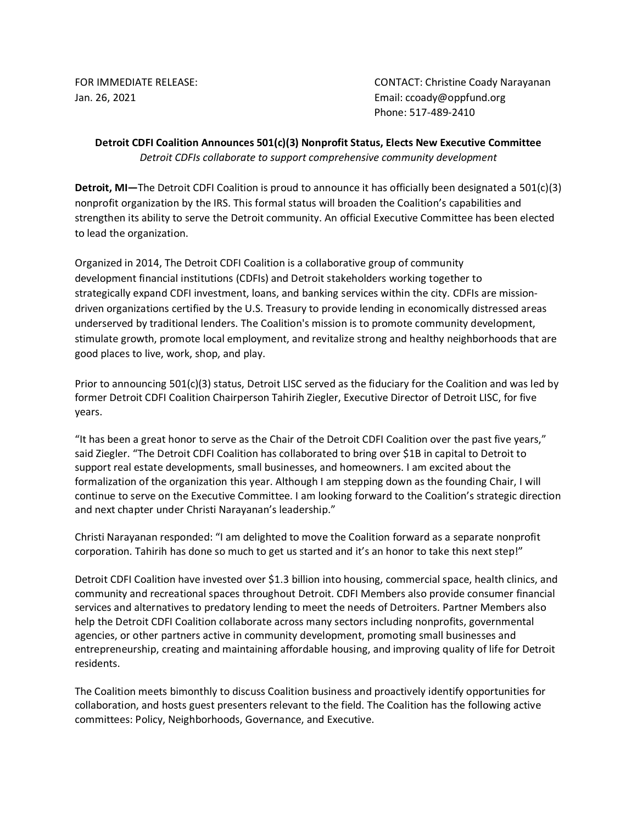FOR IMMEDIATE RELEASE: CONTACT: Christine Coady Narayanan Jan. 26, 2021 Email: ccoady@oppfund.org Phone: 517-489-2410

## **Detroit CDFI Coalition Announces 501(c)(3) Nonprofit Status, Elects New Executive Committee** *Detroit CDFIs collaborate to support comprehensive community development*

**Detroit, MI—**The Detroit CDFI Coalition is proud to announce it has officially been designated a 501(c)(3) nonprofit organization by the IRS. This formal status will broaden the Coalition's capabilities and strengthen its ability to serve the Detroit community. An official Executive Committee has been elected to lead the organization.

Organized in 2014, The Detroit CDFI Coalition is a collaborative group of community development financial institutions (CDFIs) and Detroit stakeholders working together to strategically expand CDFI investment, loans, and banking services within the city. CDFIs are missiondriven organizations certified by the U.S. Treasury to provide lending in economically distressed areas underserved by traditional lenders. The Coalition's mission is to promote community development, stimulate growth, promote local employment, and revitalize strong and healthy neighborhoods that are good places to live, work, shop, and play.

Prior to announcing 501(c)(3) status, Detroit LISC served as the fiduciary for the Coalition and was led by former Detroit CDFI Coalition Chairperson Tahirih Ziegler, Executive Director of Detroit LISC, for five years.

"It has been a great honor to serve as the Chair of the Detroit CDFI Coalition over the past five years," said Ziegler. "The Detroit CDFI Coalition has collaborated to bring over \$1B in capital to Detroit to support real estate developments, small businesses, and homeowners. I am excited about the formalization of the organization this year. Although I am stepping down as the founding Chair, I will continue to serve on the Executive Committee. I am looking forward to the Coalition's strategic direction and next chapter under Christi Narayanan's leadership."

Christi Narayanan responded: "I am delighted to move the Coalition forward as a separate nonprofit corporation. Tahirih has done so much to get us started and it's an honor to take this next step!"

Detroit CDFI Coalition have invested over \$1.3 billion into housing, commercial space, health clinics, and community and recreational spaces throughout Detroit. CDFI Members also provide consumer financial services and alternatives to predatory lending to meet the needs of Detroiters. Partner Members also help the Detroit CDFI Coalition collaborate across many sectors including nonprofits, governmental agencies, or other partners active in community development, promoting small businesses and entrepreneurship, creating and maintaining affordable housing, and improving quality of life for Detroit residents.

The Coalition meets bimonthly to discuss Coalition business and proactively identify opportunities for collaboration, and hosts guest presenters relevant to the field. The Coalition has the following active committees: Policy, Neighborhoods, Governance, and Executive.